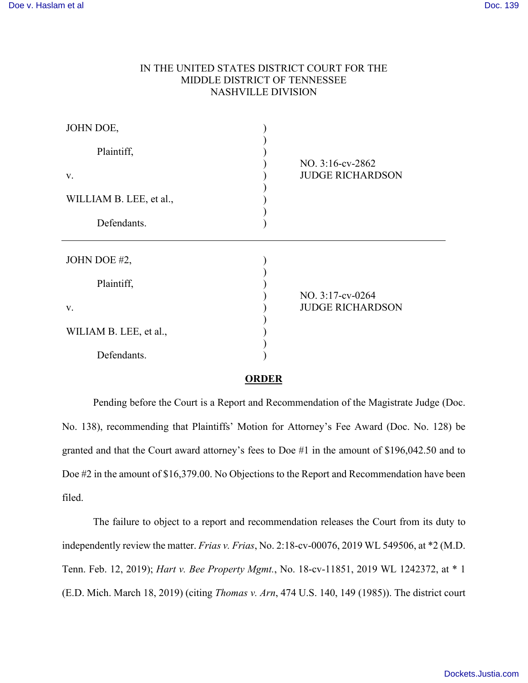## IN THE UNITED STATES DISTRICT COURT FOR THE MIDDLE DISTRICT OF TENNESSEE NASHVILLE DIVISION

| JOHN DOE,               |                                             |
|-------------------------|---------------------------------------------|
| Plaintiff,              |                                             |
| V.                      | NO. 3:16-cv-2862<br><b>JUDGE RICHARDSON</b> |
| WILLIAM B. LEE, et al., |                                             |
| Defendants.             |                                             |
|                         |                                             |
| JOHN DOE #2,            |                                             |
| Plaintiff,              |                                             |
| V.                      | NO. 3:17-cv-0264<br><b>JUDGE RICHARDSON</b> |
| WILIAM B. LEE, et al.,  |                                             |

## **ORDER**

Pending before the Court is a Report and Recommendation of the Magistrate Judge (Doc. No. 138), recommending that Plaintiffs' Motion for Attorney's Fee Award (Doc. No. 128) be granted and that the Court award attorney's fees to Doe #1 in the amount of \$196,042.50 and to Doe #2 in the amount of \$16,379.00. No Objections to the Report and Recommendation have been filed.

The failure to object to a report and recommendation releases the Court from its duty to independently review the matter. *Frias v. Frias*, No. 2:18-cv-00076, 2019 WL 549506, at \*2 (M.D. Tenn. Feb. 12, 2019); *Hart v. Bee Property Mgmt.*, No. 18-cv-11851, 2019 WL 1242372, at \* 1 (E.D. Mich. March 18, 2019) (citing *Thomas v. Arn*, 474 U.S. 140, 149 (1985)). The district court